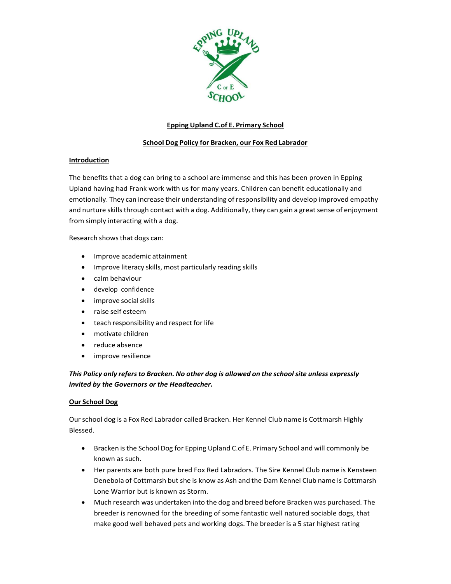

# **Epping Upland C.of E. Primary School**

# **School Dog Policy for Bracken, our Fox Red Labrador**

# **Introduction**

The benefits that a dog can bring to a school are immense and this has been proven in Epping Upland having had Frank work with us for many years. Children can benefit educationally and emotionally. They can increase their understanding of responsibility and develop improved empathy and nurture skills through contact with a dog. Additionally, they can gain a great sense of enjoyment from simply interacting with a dog.

Research shows that dogs can:

- Improve academic attainment
- Improve literacy skills, most particularly reading skills
- **•** calm behaviour
- develop confidence
- improve social skills
- raise self esteem
- teach responsibility and respect for life
- motivate children
- reduce absence
- improve resilience

# *This Policy only refers to Bracken. No other dog is allowed on the school site unless expressly invited by the Governors or the Headteacher.*

# **Our School Dog**

Our school dog is a Fox Red Labrador called Bracken. Her Kennel Club name is Cottmarsh Highly Blessed.

- Bracken is the School Dog for Epping Upland C.of E. Primary School and will commonly be known as such.
- Her parents are both pure bred Fox Red Labradors. The Sire Kennel Club name is Kensteen Denebola of Cottmarsh but she is know as Ash and the Dam Kennel Club name is Cottmarsh Lone Warrior but is known as Storm.
- Much research was undertaken into the dog and breed before Bracken was purchased. The breeder is renowned for the breeding of some fantastic well natured sociable dogs, that make good well behaved pets and working dogs. The breeder is a 5 star highest rating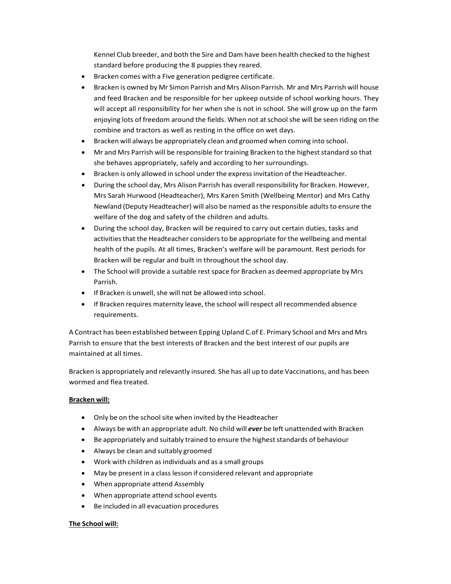Kennel Club breeder, and both the Sire and Dam have been health checked to the highest standard before producing the 8 puppies they reared.

- Bracken comes with a Five generation pedigree certificate.
- Bracken is owned by Mr Simon Parrish and Mrs Alison Parrish. Mr and Mrs Parrish will house and feed Bracken and be responsible for her upkeep outside of school working hours. They will accept all responsibility for her when she is not in school. She will grow up on the farm enjoying lots of freedom around the fields. When not at school she will be seen riding on the combine and tractors as well as resting in the office on wet days.
- Bracken will always be appropriately clean and groomed when coming into school.
- Mr and Mrs Parrish will be responsible for training Bracken to the highest standard so that she behaves appropriately, safely and according to her surroundings.
- Bracken is only allowed in school under the express invitation of the Headteacher.
- During the school day, Mrs Alison Parrish has overall responsibility for Bracken. However, Mrs Sarah Hurwood (Headteacher), Mrs Karen Smith (Wellbeing Mentor) and Mrs Cathy Newland (Deputy Headteacher) will also be named as the responsible adults to ensure the welfare of the dog and safety of the children and adults.
- During the school day, Bracken will be required to carry out certain duties, tasks and activities that the Headteacher considers to be appropriate for the wellbeing and mental health of the pupils. At all times, Bracken's welfare will be paramount. Rest periods for Bracken will be regular and built in throughout the school day.
- The School will provide a suitable rest space for Bracken as deemed appropriate by Mrs Parrish.
- If Bracken is unwell, she will not be allowed into school.
- If Bracken requires maternity leave, the school will respect all recommended absence requirements.

A Contract has been established between Epping Upland C.of E. Primary School and Mrs and Mrs Parrish to ensure that the best interests of Bracken and the best interest of our pupils are maintained at all times.

Bracken is appropriately and relevantly insured. She has all up to date Vaccinations, and has been wormed and flea treated.

## **Bracken will:**

- Only be on the school site when invited by the Headteacher
- Always be with an appropriate adult. No child will *ever* be left unattended with Bracken
- Be appropriately and suitably trained to ensure the highest standards of behaviour
- Always be clean and suitably groomed
- Work with children as individuals and as a small groups
- May be present in a class lesson if considered relevant and appropriate
- When appropriate attend Assembly
- When appropriate attend school events
- Be included in all evacuation procedures

## **The School will:**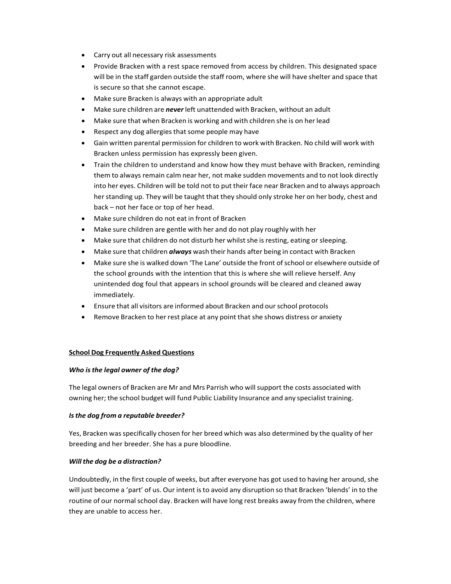- Carry out all necessary risk assessments
- Provide Bracken with a rest space removed from access by children. This designated space will be in the staff garden outside the staff room, where she will have shelter and space that is secure so that she cannot escape.
- Make sure Bracken is always with an appropriate adult
- Make sure children are *never* left unattended with Bracken, without an adult
- Make sure that when Bracken is working and with children she is on her lead
- Respect any dog allergies that some people may have
- Gain written parental permission for children to work with Bracken. No child will work with Bracken unless permission has expressly been given.
- Train the children to understand and know how they must behave with Bracken, reminding them to always remain calm near her, not make sudden movements and to not look directly into her eyes. Children will be told not to put their face near Bracken and to always approach her standing up. They will be taught that they should only stroke her on her body, chest and back – not her face or top of her head.
- Make sure children do not eat in front of Bracken
- Make sure children are gentle with her and do not play roughly with her
- Make sure that children do not disturb her whilst she is resting, eating or sleeping.
- Make sure that children *always* wash their hands after being in contact with Bracken
- Make sure she is walked down 'The Lane' outside the front of school or elsewhere outside of the school grounds with the intention that this is where she will relieve herself. Any unintended dog foul that appears in school grounds will be cleared and cleaned away immediately.
- Ensure that all visitors are informed about Bracken and our school protocols
- Remove Bracken to her rest place at any point that she shows distress or anxiety

## **School Dog Frequently Asked Questions**

## *Who is the legal owner of the dog?*

The legal owners of Bracken are Mr and Mrs Parrish who will support the costs associated with owning her; the school budget will fund Public Liability Insurance and any specialist training.

## *Is the dog from a reputable breeder?*

Yes, Bracken was specifically chosen for her breed which was also determined by the quality of her breeding and her breeder. She has a pure bloodline.

## *Will the dog be a distraction?*

Undoubtedly, in the first couple of weeks, but after everyone has got used to having her around, she will just become a 'part' of us. Our intent isto avoid any disruption so that Bracken 'blends' in to the routine of our normal school day. Bracken will have long rest breaks away from the children, where they are unable to access her.